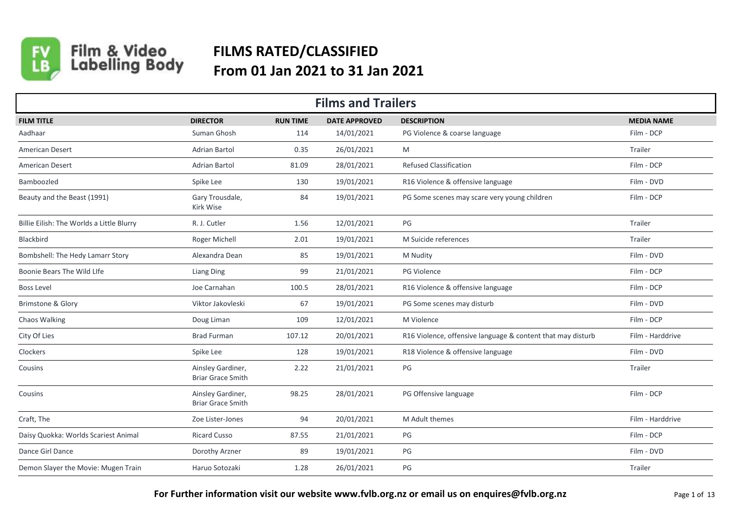

Film & Video<br>Labelling Body

## **FILMS RATED/CLASSIFIED From 01 Jan 2021 to 31 Jan 2021**

|                                           | <b>Films and Trailers</b>                     |                 |                      |                                                             |                   |  |  |  |  |
|-------------------------------------------|-----------------------------------------------|-----------------|----------------------|-------------------------------------------------------------|-------------------|--|--|--|--|
| <b>FILM TITLE</b>                         | <b>DIRECTOR</b>                               | <b>RUN TIME</b> | <b>DATE APPROVED</b> | <b>DESCRIPTION</b>                                          | <b>MEDIA NAME</b> |  |  |  |  |
| Aadhaar                                   | Suman Ghosh                                   | 114             | 14/01/2021           | PG Violence & coarse language                               | Film - DCP        |  |  |  |  |
| <b>American Desert</b>                    | <b>Adrian Bartol</b>                          | 0.35            | 26/01/2021           | M                                                           | Trailer           |  |  |  |  |
| <b>American Desert</b>                    | Adrian Bartol                                 | 81.09           | 28/01/2021           | <b>Refused Classification</b>                               | Film - DCP        |  |  |  |  |
| Bamboozled                                | Spike Lee                                     | 130             | 19/01/2021           | R16 Violence & offensive language                           | Film - DVD        |  |  |  |  |
| Beauty and the Beast (1991)               | Gary Trousdale,<br>Kirk Wise                  | 84              | 19/01/2021           | PG Some scenes may scare very young children                | Film - DCP        |  |  |  |  |
| Billie Eilish: The Worlds a Little Blurry | R. J. Cutler                                  | 1.56            | 12/01/2021           | PG                                                          | Trailer           |  |  |  |  |
| Blackbird                                 | Roger Michell                                 | 2.01            | 19/01/2021           | M Suicide references                                        | Trailer           |  |  |  |  |
| Bombshell: The Hedy Lamarr Story          | Alexandra Dean                                | 85              | 19/01/2021           | M Nudity                                                    | Film - DVD        |  |  |  |  |
| Boonie Bears The Wild Llfe                | <b>Liang Ding</b>                             | 99              | 21/01/2021           | PG Violence                                                 | Film - DCP        |  |  |  |  |
| <b>Boss Level</b>                         | Joe Carnahan                                  | 100.5           | 28/01/2021           | R16 Violence & offensive language                           | Film - DCP        |  |  |  |  |
| Brimstone & Glory                         | Viktor Jakovleski                             | 67              | 19/01/2021           | PG Some scenes may disturb                                  | Film - DVD        |  |  |  |  |
| Chaos Walking                             | Doug Liman                                    | 109             | 12/01/2021           | M Violence                                                  | Film - DCP        |  |  |  |  |
| City Of Lies                              | <b>Brad Furman</b>                            | 107.12          | 20/01/2021           | R16 Violence, offensive language & content that may disturb | Film - Harddrive  |  |  |  |  |
| Clockers                                  | Spike Lee                                     | 128             | 19/01/2021           | R18 Violence & offensive language                           | Film - DVD        |  |  |  |  |
| Cousins                                   | Ainsley Gardiner,<br><b>Briar Grace Smith</b> | 2.22            | 21/01/2021           | PG                                                          | Trailer           |  |  |  |  |
| Cousins                                   | Ainsley Gardiner,<br><b>Briar Grace Smith</b> | 98.25           | 28/01/2021           | PG Offensive language                                       | Film - DCP        |  |  |  |  |
| Craft, The                                | Zoe Lister-Jones                              | 94              | 20/01/2021           | M Adult themes                                              | Film - Harddrive  |  |  |  |  |
| Daisy Quokka: Worlds Scariest Animal      | <b>Ricard Cusso</b>                           | 87.55           | 21/01/2021           | PG                                                          | Film - DCP        |  |  |  |  |
| Dance Girl Dance                          | Dorothy Arzner                                | 89              | 19/01/2021           | PG                                                          | Film - DVD        |  |  |  |  |
| Demon Slayer the Movie: Mugen Train       | Haruo Sotozaki                                | 1.28            | 26/01/2021           | PG                                                          | Trailer           |  |  |  |  |

For Further information visit our website www.fvlb.org.nz or email us on enquires@fvlb.org.nz **Page 1 of 13** Page 1 of 13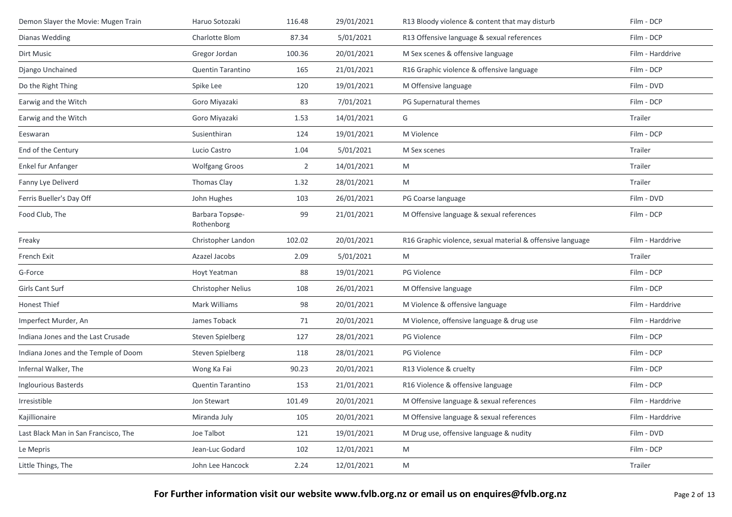| Demon Slayer the Movie: Mugen Train  | Haruo Sotozaki                | 116.48         | 29/01/2021 | R13 Bloody violence & content that may disturb             | Film - DCP       |
|--------------------------------------|-------------------------------|----------------|------------|------------------------------------------------------------|------------------|
| Dianas Wedding                       | Charlotte Blom                | 87.34          | 5/01/2021  | R13 Offensive language & sexual references                 | Film - DCP       |
| Dirt Music                           | Gregor Jordan                 | 100.36         | 20/01/2021 | M Sex scenes & offensive language                          | Film - Harddrive |
| Django Unchained                     | <b>Quentin Tarantino</b>      | 165            | 21/01/2021 | R16 Graphic violence & offensive language                  | Film - DCP       |
| Do the Right Thing                   | Spike Lee                     | 120            | 19/01/2021 | M Offensive language                                       | Film - DVD       |
| Earwig and the Witch                 | Goro Miyazaki                 | 83             | 7/01/2021  | PG Supernatural themes                                     | Film - DCP       |
| Earwig and the Witch                 | Goro Miyazaki                 | 1.53           | 14/01/2021 | G                                                          | Trailer          |
| Eeswaran                             | Susienthiran                  | 124            | 19/01/2021 | M Violence                                                 | Film - DCP       |
| End of the Century                   | Lucio Castro                  | 1.04           | 5/01/2021  | M Sex scenes                                               | Trailer          |
| Enkel fur Anfanger                   | <b>Wolfgang Groos</b>         | $\overline{2}$ | 14/01/2021 | M                                                          | Trailer          |
| Fanny Lye Deliverd                   | Thomas Clay                   | 1.32           | 28/01/2021 | M                                                          | Trailer          |
| Ferris Bueller's Day Off             | John Hughes                   | 103            | 26/01/2021 | PG Coarse language                                         | Film - DVD       |
| Food Club, The                       | Barbara Topsøe-<br>Rothenborg | 99             | 21/01/2021 | M Offensive language & sexual references                   | Film - DCP       |
| Freaky                               | Christopher Landon            | 102.02         | 20/01/2021 | R16 Graphic violence, sexual material & offensive language | Film - Harddrive |
| French Exit                          | Azazel Jacobs                 | 2.09           | 5/01/2021  | M                                                          | Trailer          |
| G-Force                              | Hoyt Yeatman                  | 88             | 19/01/2021 | PG Violence                                                | Film - DCP       |
| Girls Cant Surf                      | Christopher Nelius            | 108            | 26/01/2021 | M Offensive language                                       | Film - DCP       |
| Honest Thief                         | Mark Williams                 | 98             | 20/01/2021 | M Violence & offensive language                            | Film - Harddrive |
| Imperfect Murder, An                 | James Toback                  | 71             | 20/01/2021 | M Violence, offensive language & drug use                  | Film - Harddrive |
| Indiana Jones and the Last Crusade   | <b>Steven Spielberg</b>       | 127            | 28/01/2021 | PG Violence                                                | Film - DCP       |
| Indiana Jones and the Temple of Doom | Steven Spielberg              | 118            | 28/01/2021 | PG Violence                                                | Film - DCP       |
| Infernal Walker, The                 | Wong Ka Fai                   | 90.23          | 20/01/2021 | R13 Violence & cruelty                                     | Film - DCP       |
| Inglourious Basterds                 | Quentin Tarantino             | 153            | 21/01/2021 | R16 Violence & offensive language                          | Film - DCP       |
| Irresistible                         | Jon Stewart                   | 101.49         | 20/01/2021 | M Offensive language & sexual references                   | Film - Harddrive |
| Kajillionaire                        | Miranda July                  | 105            | 20/01/2021 | M Offensive language & sexual references                   | Film - Harddrive |
| Last Black Man in San Francisco, The | Joe Talbot                    | 121            | 19/01/2021 | M Drug use, offensive language & nudity                    | Film - DVD       |
| Le Mepris                            | Jean-Luc Godard               | 102            | 12/01/2021 | M                                                          | Film - DCP       |
| Little Things, The                   | John Lee Hancock              | 2.24           | 12/01/2021 | M                                                          | Trailer          |
|                                      |                               |                |            |                                                            |                  |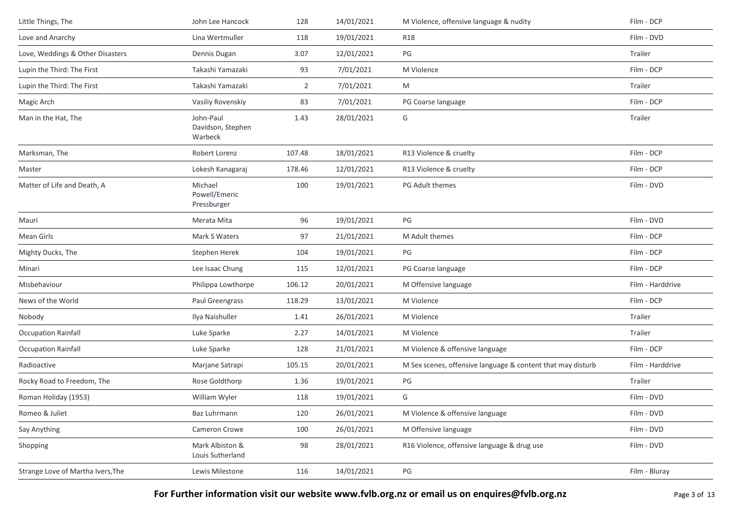| Little Things, The                | John Lee Hancock                          | 128            | 14/01/2021 | M Violence, offensive language & nudity                     | Film - DCP       |
|-----------------------------------|-------------------------------------------|----------------|------------|-------------------------------------------------------------|------------------|
| Love and Anarchy                  | Lina Wertmuller                           | 118            | 19/01/2021 | <b>R18</b>                                                  | Film - DVD       |
| Love, Weddings & Other Disasters  | Dennis Dugan                              | 3.07           | 12/01/2021 | PG                                                          | Trailer          |
| Lupin the Third: The First        | Takashi Yamazaki                          | 93             | 7/01/2021  | M Violence                                                  | Film - DCP       |
| Lupin the Third: The First        | Takashi Yamazaki                          | $\overline{2}$ | 7/01/2021  | M                                                           | Trailer          |
| Magic Arch                        | Vasiliy Rovenskiy                         | 83             | 7/01/2021  | PG Coarse language                                          | Film - DCP       |
| Man in the Hat, The               | John-Paul<br>Davidson, Stephen<br>Warbeck | 1.43           | 28/01/2021 | G                                                           | Trailer          |
| Marksman, The                     | Robert Lorenz                             | 107.48         | 18/01/2021 | R13 Violence & cruelty                                      | Film - DCP       |
| Master                            | Lokesh Kanagaraj                          | 178.46         | 12/01/2021 | R13 Violence & cruelty                                      | Film - DCP       |
| Matter of Life and Death, A       | Michael<br>Powell/Emeric<br>Pressburger   | 100            | 19/01/2021 | PG Adult themes                                             | Film - DVD       |
| Mauri                             | Merata Mita                               | 96             | 19/01/2021 | PG                                                          | Film - DVD       |
| Mean Girls                        | Mark S Waters                             | 97             | 21/01/2021 | M Adult themes                                              | Film - DCP       |
| Mighty Ducks, The                 | Stephen Herek                             | 104            | 19/01/2021 | PG                                                          | Film - DCP       |
| Minari                            | Lee Isaac Chung                           | 115            | 12/01/2021 | PG Coarse language                                          | Film - DCP       |
| Misbehaviour                      | Philippa Lowthorpe                        | 106.12         | 20/01/2021 | M Offensive language                                        | Film - Harddrive |
| News of the World                 | Paul Greengrass                           | 118.29         | 13/01/2021 | M Violence                                                  | Film - DCP       |
| Nobody                            | Ilya Naishuller                           | 1.41           | 26/01/2021 | M Violence                                                  | Trailer          |
| <b>Occupation Rainfall</b>        | Luke Sparke                               | 2.27           | 14/01/2021 | M Violence                                                  | Trailer          |
| <b>Occupation Rainfall</b>        | Luke Sparke                               | 128            | 21/01/2021 | M Violence & offensive language                             | Film - DCP       |
| Radioactive                       | Marjane Satrapi                           | 105.15         | 20/01/2021 | M Sex scenes, offensive language & content that may disturb | Film - Harddrive |
| Rocky Road to Freedom, The        | Rose Goldthorp                            | 1.36           | 19/01/2021 | PG                                                          | Trailer          |
| Roman Holiday (1953)              | William Wyler                             | 118            | 19/01/2021 | G                                                           | Film - DVD       |
| Romeo & Juliet                    | Baz Luhrmann                              | 120            | 26/01/2021 | M Violence & offensive language                             | Film - DVD       |
| Say Anything                      | Cameron Crowe                             | 100            | 26/01/2021 | M Offensive language                                        | Film - DVD       |
| Shopping                          | Mark Albiston &<br>Louis Sutherland       | 98             | 28/01/2021 | R16 Violence, offensive language & drug use                 | Film - DVD       |
| Strange Love of Martha Ivers, The | Lewis Milestone                           | 116            | 14/01/2021 | PG                                                          | Film - Bluray    |
|                                   |                                           |                |            |                                                             |                  |

**For Further information visit our website www.fvlb.org.nz or email us on enquires@fvlb.org.nz** Page 3 of 13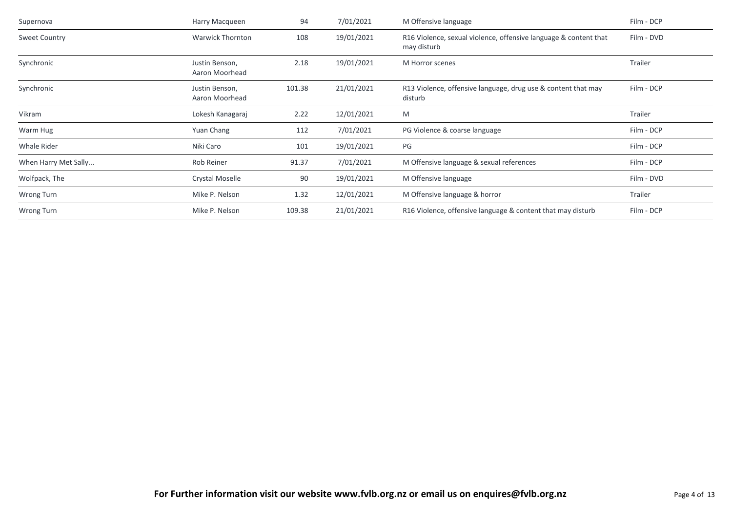| Supernova            | Harry Macqueen                   | 94     | 7/01/2021  | M Offensive language                                                            | Film - DCP |
|----------------------|----------------------------------|--------|------------|---------------------------------------------------------------------------------|------------|
| <b>Sweet Country</b> | <b>Warwick Thornton</b>          | 108    | 19/01/2021 | R16 Violence, sexual violence, offensive language & content that<br>may disturb | Film - DVD |
| Synchronic           | Justin Benson,<br>Aaron Moorhead | 2.18   | 19/01/2021 | M Horror scenes                                                                 | Trailer    |
| Synchronic           | Justin Benson,<br>Aaron Moorhead | 101.38 | 21/01/2021 | R13 Violence, offensive language, drug use & content that may<br>disturb        | Film - DCP |
| Vikram               | Lokesh Kanagaraj                 | 2.22   | 12/01/2021 | M                                                                               | Trailer    |
| Warm Hug             | Yuan Chang                       | 112    | 7/01/2021  | PG Violence & coarse language                                                   | Film - DCP |
| Whale Rider          | Niki Caro                        | 101    | 19/01/2021 | PG                                                                              | Film - DCP |
| When Harry Met Sally | Rob Reiner                       | 91.37  | 7/01/2021  | M Offensive language & sexual references                                        | Film - DCP |
| Wolfpack, The        | Crystal Moselle                  | 90     | 19/01/2021 | M Offensive language                                                            | Film - DVD |
| Wrong Turn           | Mike P. Nelson                   | 1.32   | 12/01/2021 | M Offensive language & horror                                                   | Trailer    |
| Wrong Turn           | Mike P. Nelson                   | 109.38 | 21/01/2021 | R16 Violence, offensive language & content that may disturb                     | Film - DCP |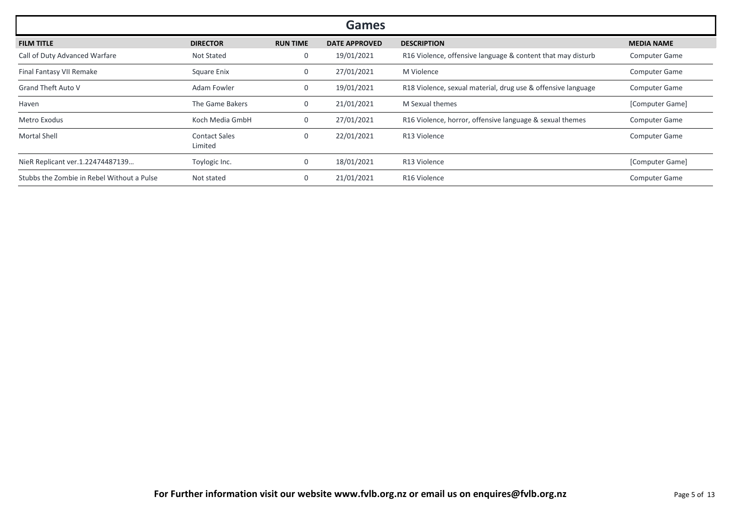| <b>Games</b>                               |                                 |                 |                      |                                                              |                      |  |  |
|--------------------------------------------|---------------------------------|-----------------|----------------------|--------------------------------------------------------------|----------------------|--|--|
| <b>FILM TITLE</b>                          | <b>DIRECTOR</b>                 | <b>RUN TIME</b> | <b>DATE APPROVED</b> | <b>DESCRIPTION</b>                                           | <b>MEDIA NAME</b>    |  |  |
| Call of Duty Advanced Warfare              | <b>Not Stated</b>               | 0               | 19/01/2021           | R16 Violence, offensive language & content that may disturb  | <b>Computer Game</b> |  |  |
| Final Fantasy VII Remake                   | Square Enix                     | 0               | 27/01/2021           | M Violence                                                   | <b>Computer Game</b> |  |  |
| <b>Grand Theft Auto V</b>                  | Adam Fowler                     | 0               | 19/01/2021           | R18 Violence, sexual material, drug use & offensive language | <b>Computer Game</b> |  |  |
| Haven                                      | The Game Bakers                 |                 | 21/01/2021           | M Sexual themes                                              | [Computer Game]      |  |  |
| Metro Exodus                               | Koch Media GmbH                 | 0               | 27/01/2021           | R16 Violence, horror, offensive language & sexual themes     | <b>Computer Game</b> |  |  |
| <b>Mortal Shell</b>                        | <b>Contact Sales</b><br>Limited | 0               | 22/01/2021           | R13 Violence                                                 | <b>Computer Game</b> |  |  |
| NieR Replicant ver.1.22474487139           | Toylogic Inc.                   | $\Omega$        | 18/01/2021           | R13 Violence                                                 | [Computer Game]      |  |  |
| Stubbs the Zombie in Rebel Without a Pulse | Not stated                      | 0               | 21/01/2021           | R <sub>16</sub> Violence                                     | <b>Computer Game</b> |  |  |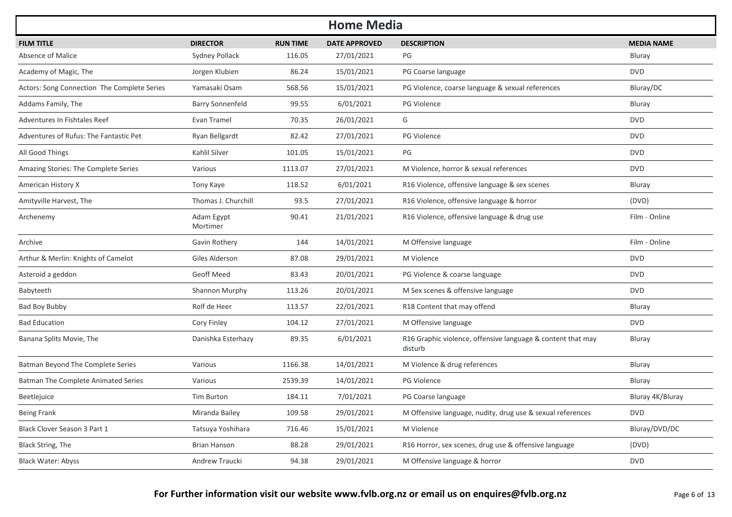| <b>Home Media</b>                           |                         |                 |                      |                                                                        |                   |  |  |  |
|---------------------------------------------|-------------------------|-----------------|----------------------|------------------------------------------------------------------------|-------------------|--|--|--|
| <b>FILM TITLE</b>                           | <b>DIRECTOR</b>         | <b>RUN TIME</b> | <b>DATE APPROVED</b> | <b>DESCRIPTION</b>                                                     | <b>MEDIA NAME</b> |  |  |  |
| Absence of Malice                           | Sydney Pollack          | 116.05          | 27/01/2021           | PG                                                                     | Bluray            |  |  |  |
| Academy of Magic, The                       | Jorgen Klubien          | 86.24           | 15/01/2021           | PG Coarse language                                                     | <b>DVD</b>        |  |  |  |
| Actors: Song Connection The Complete Series | Yamasaki Osam           | 568.56          | 15/01/2021           | PG Violence, coarse language & sexual references                       | Bluray/DC         |  |  |  |
| Addams Family, The                          | <b>Barry Sonnenfeld</b> | 99.55           | 6/01/2021            | PG Violence                                                            | Bluray            |  |  |  |
| Adventures In Fishtales Reef                | Evan Tramel             | 70.35           | 26/01/2021           | G                                                                      | <b>DVD</b>        |  |  |  |
| Adventures of Rufus: The Fantastic Pet      | Ryan Bellgardt          | 82.42           | 27/01/2021           | PG Violence                                                            | <b>DVD</b>        |  |  |  |
| All Good Things                             | Kahlil Silver           | 101.05          | 15/01/2021           | PG                                                                     | <b>DVD</b>        |  |  |  |
| Amazing Stories: The Complete Series        | Various                 | 1113.07         | 27/01/2021           | M Violence, horror & sexual references                                 | <b>DVD</b>        |  |  |  |
| American History X                          | Tony Kaye               | 118.52          | 6/01/2021            | R16 Violence, offensive language & sex scenes                          | <b>Bluray</b>     |  |  |  |
| Amityville Harvest, The                     | Thomas J. Churchill     | 93.5            | 27/01/2021           | R16 Violence, offensive language & horror                              | (DVD)             |  |  |  |
| Archenemy                                   | Adam Egypt<br>Mortimer  | 90.41           | 21/01/2021           | R16 Violence, offensive language & drug use                            | Film - Online     |  |  |  |
| Archive                                     | Gavin Rothery           | 144             | 14/01/2021           | M Offensive language                                                   | Film - Online     |  |  |  |
| Arthur & Merlin: Knights of Camelot         | Giles Alderson          | 87.08           | 29/01/2021           | M Violence                                                             | <b>DVD</b>        |  |  |  |
| Asteroid a geddon                           | <b>Geoff Meed</b>       | 83.43           | 20/01/2021           | PG Violence & coarse language                                          | <b>DVD</b>        |  |  |  |
| Babyteeth                                   | Shannon Murphy          | 113.26          | 20/01/2021           | M Sex scenes & offensive language                                      | <b>DVD</b>        |  |  |  |
| Bad Boy Bubby                               | Rolf de Heer            | 113.57          | 22/01/2021           | R18 Content that may offend                                            | <b>Bluray</b>     |  |  |  |
| <b>Bad Education</b>                        | Cory Finley             | 104.12          | 27/01/2021           | M Offensive language                                                   | <b>DVD</b>        |  |  |  |
| Banana Splits Movie, The                    | Danishka Esterhazy      | 89.35           | 6/01/2021            | R16 Graphic violence, offensive language & content that may<br>disturb | Bluray            |  |  |  |
| Batman Beyond The Complete Series           | Various                 | 1166.38         | 14/01/2021           | M Violence & drug references                                           | Bluray            |  |  |  |
| <b>Batman The Complete Animated Series</b>  | Various                 | 2539.39         | 14/01/2021           | PG Violence                                                            | Bluray            |  |  |  |
| Beetlejuice                                 | Tim Burton              | 184.11          | 7/01/2021            | PG Coarse language                                                     | Bluray 4K/Bluray  |  |  |  |
| <b>Being Frank</b>                          | Miranda Bailey          | 109.58          | 29/01/2021           | M Offensive language, nudity, drug use & sexual references             | <b>DVD</b>        |  |  |  |
| Black Clover Season 3 Part 1                | Tatsuya Yoshihara       | 716.46          | 15/01/2021           | M Violence                                                             | Bluray/DVD/DC     |  |  |  |
| Black String, The                           | Brian Hanson            | 88.28           | 29/01/2021           | R16 Horror, sex scenes, drug use & offensive language                  | (DVD)             |  |  |  |
| <b>Black Water: Abyss</b>                   | Andrew Traucki          | 94.38           | 29/01/2021           | M Offensive language & horror                                          | <b>DVD</b>        |  |  |  |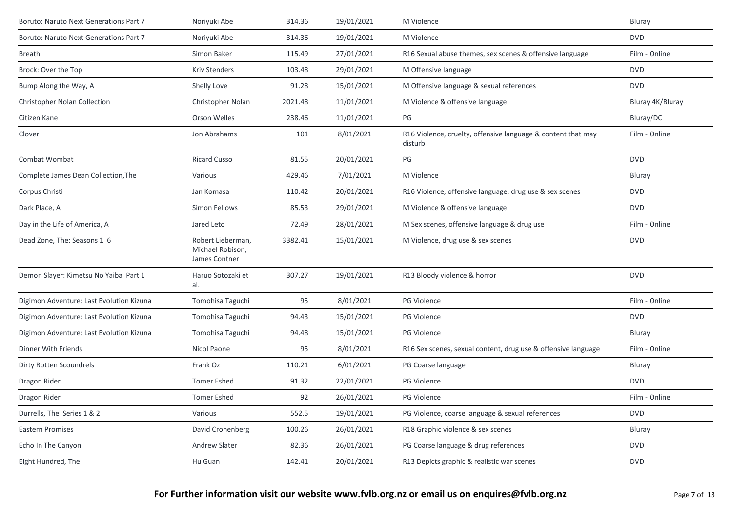| Boruto: Naruto Next Generations Part 7   | Noriyuki Abe                                           | 314.36  | 19/01/2021 | M Violence                                                              | Bluray           |
|------------------------------------------|--------------------------------------------------------|---------|------------|-------------------------------------------------------------------------|------------------|
| Boruto: Naruto Next Generations Part 7   | Noriyuki Abe                                           | 314.36  | 19/01/2021 | M Violence                                                              | <b>DVD</b>       |
| <b>Breath</b>                            | Simon Baker                                            | 115.49  | 27/01/2021 | R16 Sexual abuse themes, sex scenes & offensive language                | Film - Online    |
| Brock: Over the Top                      | <b>Kriv Stenders</b>                                   | 103.48  | 29/01/2021 | M Offensive language                                                    | <b>DVD</b>       |
| Bump Along the Way, A                    | Shelly Love                                            | 91.28   | 15/01/2021 | M Offensive language & sexual references                                | <b>DVD</b>       |
| <b>Christopher Nolan Collection</b>      | Christopher Nolan                                      | 2021.48 | 11/01/2021 | M Violence & offensive language                                         | Bluray 4K/Bluray |
| Citizen Kane                             | <b>Orson Welles</b>                                    | 238.46  | 11/01/2021 | PG                                                                      | Bluray/DC        |
| Clover                                   | Jon Abrahams                                           | 101     | 8/01/2021  | R16 Violence, cruelty, offensive language & content that may<br>disturb | Film - Online    |
| Combat Wombat                            | Ricard Cusso                                           | 81.55   | 20/01/2021 | PG                                                                      | <b>DVD</b>       |
| Complete James Dean Collection, The      | Various                                                | 429.46  | 7/01/2021  | M Violence                                                              | Bluray           |
| Corpus Christi                           | Jan Komasa                                             | 110.42  | 20/01/2021 | R16 Violence, offensive language, drug use & sex scenes                 | <b>DVD</b>       |
| Dark Place, A                            | Simon Fellows                                          | 85.53   | 29/01/2021 | M Violence & offensive language                                         | <b>DVD</b>       |
| Day in the Life of America, A            | Jared Leto                                             | 72.49   | 28/01/2021 | M Sex scenes, offensive language & drug use                             | Film - Online    |
| Dead Zone, The: Seasons 1 6              | Robert Lieberman,<br>Michael Robison,<br>James Contner | 3382.41 | 15/01/2021 | M Violence, drug use & sex scenes                                       | <b>DVD</b>       |
| Demon Slayer: Kimetsu No Yaiba Part 1    | Haruo Sotozaki et<br>al.                               | 307.27  | 19/01/2021 | R13 Bloody violence & horror                                            | <b>DVD</b>       |
| Digimon Adventure: Last Evolution Kizuna | Tomohisa Taguchi                                       | 95      | 8/01/2021  | PG Violence                                                             | Film - Online    |
| Digimon Adventure: Last Evolution Kizuna | Tomohisa Taguchi                                       | 94.43   | 15/01/2021 | <b>PG Violence</b>                                                      | <b>DVD</b>       |
| Digimon Adventure: Last Evolution Kizuna | Tomohisa Taguchi                                       | 94.48   | 15/01/2021 | <b>PG Violence</b>                                                      | Bluray           |
| Dinner With Friends                      | Nicol Paone                                            | 95      | 8/01/2021  | R16 Sex scenes, sexual content, drug use & offensive language           | Film - Online    |
| Dirty Rotten Scoundrels                  | Frank Oz                                               | 110.21  | 6/01/2021  | PG Coarse language                                                      | Bluray           |
| Dragon Rider                             | <b>Tomer Eshed</b>                                     | 91.32   | 22/01/2021 | PG Violence                                                             | <b>DVD</b>       |
| Dragon Rider                             | <b>Tomer Eshed</b>                                     | 92      | 26/01/2021 | <b>PG Violence</b>                                                      | Film - Online    |
| Durrells, The Series 1 & 2               | Various                                                | 552.5   | 19/01/2021 | PG Violence, coarse language & sexual references                        | <b>DVD</b>       |
| <b>Eastern Promises</b>                  | David Cronenberg                                       | 100.26  | 26/01/2021 | R18 Graphic violence & sex scenes                                       | Bluray           |
| Echo In The Canyon                       | <b>Andrew Slater</b>                                   | 82.36   | 26/01/2021 | PG Coarse language & drug references                                    | <b>DVD</b>       |
| Eight Hundred, The                       | Hu Guan                                                | 142.41  | 20/01/2021 | R13 Depicts graphic & realistic war scenes                              | <b>DVD</b>       |
|                                          |                                                        |         |            |                                                                         |                  |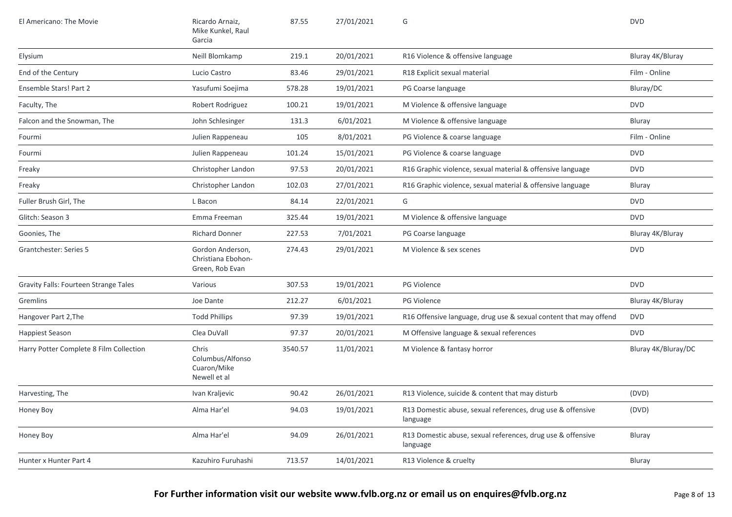| El Americano: The Movie                      | Ricardo Arnaiz,<br>Mike Kunkel, Raul<br>Garcia            | 87.55   | 27/01/2021 | G                                                                       | <b>DVD</b>          |
|----------------------------------------------|-----------------------------------------------------------|---------|------------|-------------------------------------------------------------------------|---------------------|
| Elysium                                      | Neill Blomkamp                                            | 219.1   | 20/01/2021 | R16 Violence & offensive language                                       | Bluray 4K/Bluray    |
| End of the Century                           | Lucio Castro                                              | 83.46   | 29/01/2021 | R18 Explicit sexual material                                            | Film - Online       |
| Ensemble Stars! Part 2                       | Yasufumi Soejima                                          | 578.28  | 19/01/2021 | PG Coarse language                                                      | Bluray/DC           |
| Faculty, The                                 | Robert Rodriguez                                          | 100.21  | 19/01/2021 | M Violence & offensive language                                         | <b>DVD</b>          |
| Falcon and the Snowman, The                  | John Schlesinger                                          | 131.3   | 6/01/2021  | M Violence & offensive language                                         | Bluray              |
| Fourmi                                       | Julien Rappeneau                                          | 105     | 8/01/2021  | PG Violence & coarse language                                           | Film - Online       |
| Fourmi                                       | Julien Rappeneau                                          | 101.24  | 15/01/2021 | PG Violence & coarse language                                           | <b>DVD</b>          |
| Freaky                                       | Christopher Landon                                        | 97.53   | 20/01/2021 | R16 Graphic violence, sexual material & offensive language              | <b>DVD</b>          |
| Freaky                                       | Christopher Landon                                        | 102.03  | 27/01/2021 | R16 Graphic violence, sexual material & offensive language              | Bluray              |
| Fuller Brush Girl, The                       | L Bacon                                                   | 84.14   | 22/01/2021 | G                                                                       | <b>DVD</b>          |
| Glitch: Season 3                             | Emma Freeman                                              | 325.44  | 19/01/2021 | M Violence & offensive language                                         | <b>DVD</b>          |
| Goonies, The                                 | <b>Richard Donner</b>                                     | 227.53  | 7/01/2021  | PG Coarse language                                                      | Bluray 4K/Bluray    |
| Grantchester: Series 5                       | Gordon Anderson,<br>Christiana Ebohon-<br>Green, Rob Evan | 274.43  | 29/01/2021 | M Violence & sex scenes                                                 | <b>DVD</b>          |
| <b>Gravity Falls: Fourteen Strange Tales</b> | Various                                                   | 307.53  | 19/01/2021 | PG Violence                                                             | <b>DVD</b>          |
| Gremlins                                     | Joe Dante                                                 | 212.27  | 6/01/2021  | <b>PG Violence</b>                                                      | Bluray 4K/Bluray    |
| Hangover Part 2, The                         | <b>Todd Phillips</b>                                      | 97.39   | 19/01/2021 | R16 Offensive language, drug use & sexual content that may offend       | <b>DVD</b>          |
| Happiest Season                              | Clea DuVall                                               | 97.37   | 20/01/2021 | M Offensive language & sexual references                                | <b>DVD</b>          |
| Harry Potter Complete 8 Film Collection      | Chris<br>Columbus/Alfonso<br>Cuaron/Mike<br>Newell et al  | 3540.57 | 11/01/2021 | M Violence & fantasy horror                                             | Bluray 4K/Bluray/DC |
| Harvesting, The                              | Ivan Kraljevic                                            | 90.42   | 26/01/2021 | R13 Violence, suicide & content that may disturb                        | (DVD)               |
| Honey Boy                                    | Alma Har'el                                               | 94.03   | 19/01/2021 | R13 Domestic abuse, sexual references, drug use & offensive<br>language | (DVD)               |
| Honey Boy                                    | Alma Har'el                                               | 94.09   | 26/01/2021 | R13 Domestic abuse, sexual references, drug use & offensive<br>language | Bluray              |
| Hunter x Hunter Part 4                       | Kazuhiro Furuhashi                                        | 713.57  | 14/01/2021 | R13 Violence & cruelty                                                  | Bluray              |
|                                              |                                                           |         |            |                                                                         |                     |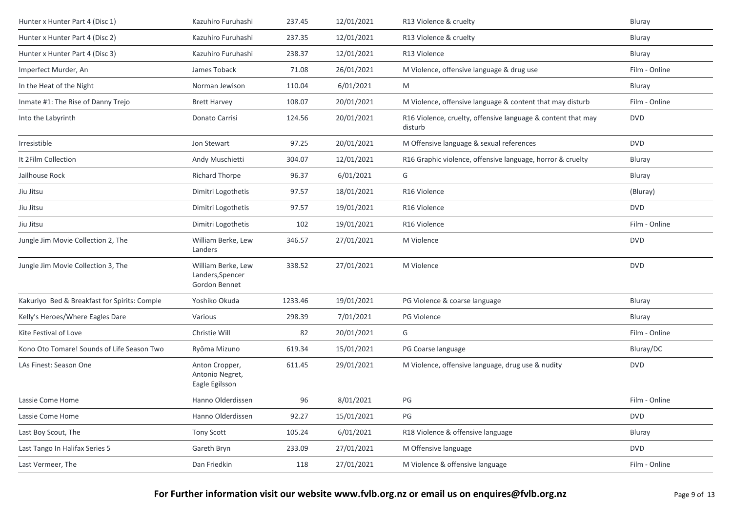| Hunter x Hunter Part 4 (Disc 1)              | Kazuhiro Furuhashi                                      | 237.45  | 12/01/2021 | R13 Violence & cruelty                                                  | <b>Bluray</b> |
|----------------------------------------------|---------------------------------------------------------|---------|------------|-------------------------------------------------------------------------|---------------|
| Hunter x Hunter Part 4 (Disc 2)              | Kazuhiro Furuhashi                                      | 237.35  | 12/01/2021 | R13 Violence & cruelty                                                  | Bluray        |
| Hunter x Hunter Part 4 (Disc 3)              | Kazuhiro Furuhashi                                      | 238.37  | 12/01/2021 | R13 Violence                                                            | Bluray        |
| Imperfect Murder, An                         | James Toback                                            | 71.08   | 26/01/2021 | M Violence, offensive language & drug use                               | Film - Online |
| In the Heat of the Night                     | Norman Jewison                                          | 110.04  | 6/01/2021  | M                                                                       | <b>Bluray</b> |
| Inmate #1: The Rise of Danny Trejo           | <b>Brett Harvey</b>                                     | 108.07  | 20/01/2021 | M Violence, offensive language & content that may disturb               | Film - Online |
| Into the Labyrinth                           | Donato Carrisi                                          | 124.56  | 20/01/2021 | R16 Violence, cruelty, offensive language & content that may<br>disturb | <b>DVD</b>    |
| Irresistible                                 | Jon Stewart                                             | 97.25   | 20/01/2021 | M Offensive language & sexual references                                | <b>DVD</b>    |
| It 2Film Collection                          | Andy Muschietti                                         | 304.07  | 12/01/2021 | R16 Graphic violence, offensive language, horror & cruelty              | Bluray        |
| Jailhouse Rock                               | <b>Richard Thorpe</b>                                   | 96.37   | 6/01/2021  | G                                                                       | Bluray        |
| Jiu Jitsu                                    | Dimitri Logothetis                                      | 97.57   | 18/01/2021 | R16 Violence                                                            | (Bluray)      |
| Jiu Jitsu                                    | Dimitri Logothetis                                      | 97.57   | 19/01/2021 | R <sub>16</sub> Violence                                                | <b>DVD</b>    |
| Jiu Jitsu                                    | Dimitri Logothetis                                      | 102     | 19/01/2021 | R16 Violence                                                            | Film - Online |
| Jungle Jim Movie Collection 2, The           | William Berke, Lew<br>Landers                           | 346.57  | 27/01/2021 | M Violence                                                              | <b>DVD</b>    |
| Jungle Jim Movie Collection 3, The           | William Berke, Lew<br>Landers, Spencer<br>Gordon Bennet | 338.52  | 27/01/2021 | M Violence                                                              | <b>DVD</b>    |
| Kakuriyo Bed & Breakfast for Spirits: Comple | Yoshiko Okuda                                           | 1233.46 | 19/01/2021 | PG Violence & coarse language                                           | Bluray        |
| Kelly's Heroes/Where Eagles Dare             | Various                                                 | 298.39  | 7/01/2021  | PG Violence                                                             | Bluray        |
| Kite Festival of Love                        | Christie Will                                           | 82      | 20/01/2021 | G                                                                       | Film - Online |
| Kono Oto Tomare! Sounds of Life Season Two   | Ryōma Mizuno                                            | 619.34  | 15/01/2021 | PG Coarse language                                                      | Bluray/DC     |
| LAs Finest: Season One                       | Anton Cropper,<br>Antonio Negret,<br>Eagle Egilsson     | 611.45  | 29/01/2021 | M Violence, offensive language, drug use & nudity                       | <b>DVD</b>    |
| Lassie Come Home                             | Hanno Olderdissen                                       | 96      | 8/01/2021  | PG                                                                      | Film - Online |
| Lassie Come Home                             | Hanno Olderdissen                                       | 92.27   | 15/01/2021 | PG                                                                      | <b>DVD</b>    |
| Last Boy Scout, The                          | Tony Scott                                              | 105.24  | 6/01/2021  | R18 Violence & offensive language                                       | Bluray        |
| Last Tango In Halifax Series 5               | Gareth Bryn                                             | 233.09  | 27/01/2021 | M Offensive language                                                    | <b>DVD</b>    |
| Last Vermeer, The                            | Dan Friedkin                                            | 118     | 27/01/2021 | M Violence & offensive language                                         | Film - Online |
|                                              |                                                         |         |            |                                                                         |               |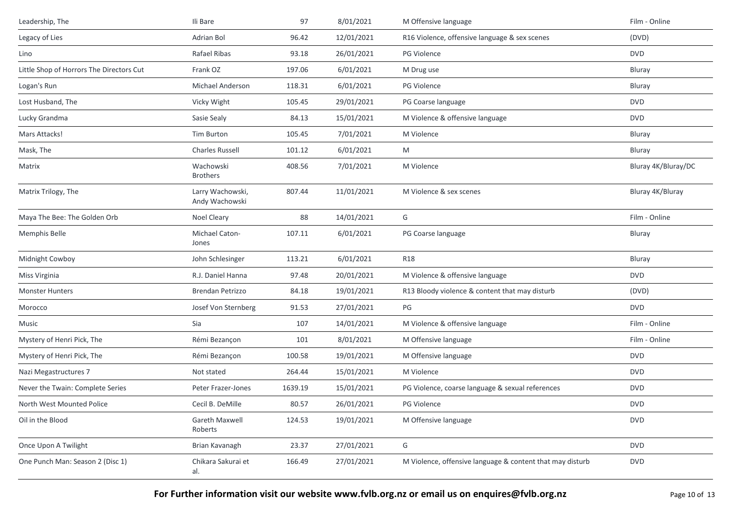| Leadership, The                          | Ili Bare                           | 97      | 8/01/2021  | M Offensive language                                      | Film - Online       |
|------------------------------------------|------------------------------------|---------|------------|-----------------------------------------------------------|---------------------|
| Legacy of Lies                           | Adrian Bol                         | 96.42   | 12/01/2021 | R16 Violence, offensive language & sex scenes             | (DVD)               |
| Lino                                     | Rafael Ribas                       | 93.18   | 26/01/2021 | <b>PG Violence</b>                                        | <b>DVD</b>          |
| Little Shop of Horrors The Directors Cut | Frank OZ                           | 197.06  | 6/01/2021  | M Drug use                                                | Bluray              |
| Logan's Run                              | Michael Anderson                   | 118.31  | 6/01/2021  | <b>PG Violence</b>                                        | Bluray              |
| Lost Husband, The                        | Vicky Wight                        | 105.45  | 29/01/2021 | PG Coarse language                                        | <b>DVD</b>          |
| Lucky Grandma                            | Sasie Sealy                        | 84.13   | 15/01/2021 | M Violence & offensive language                           | <b>DVD</b>          |
| Mars Attacks!                            | Tim Burton                         | 105.45  | 7/01/2021  | M Violence                                                | Bluray              |
| Mask, The                                | <b>Charles Russell</b>             | 101.12  | 6/01/2021  | M                                                         | Bluray              |
| Matrix                                   | Wachowski<br><b>Brothers</b>       | 408.56  | 7/01/2021  | M Violence                                                | Bluray 4K/Bluray/DC |
| Matrix Trilogy, The                      | Larry Wachowski,<br>Andy Wachowski | 807.44  | 11/01/2021 | M Violence & sex scenes                                   | Bluray 4K/Bluray    |
| Maya The Bee: The Golden Orb             | <b>Noel Cleary</b>                 | 88      | 14/01/2021 | G                                                         | Film - Online       |
| Memphis Belle                            | Michael Caton-<br>Jones            | 107.11  | 6/01/2021  | PG Coarse language                                        | Bluray              |
| Midnight Cowboy                          | John Schlesinger                   | 113.21  | 6/01/2021  | <b>R18</b>                                                | Bluray              |
| Miss Virginia                            | R.J. Daniel Hanna                  | 97.48   | 20/01/2021 | M Violence & offensive language                           | <b>DVD</b>          |
| <b>Monster Hunters</b>                   | <b>Brendan Petrizzo</b>            | 84.18   | 19/01/2021 | R13 Bloody violence & content that may disturb            | (DVD)               |
| Morocco                                  | Josef Von Sternberg                | 91.53   | 27/01/2021 | PG                                                        | <b>DVD</b>          |
| Music                                    | Sia                                | 107     | 14/01/2021 | M Violence & offensive language                           | Film - Online       |
| Mystery of Henri Pick, The               | Rémi Bezançon                      | 101     | 8/01/2021  | M Offensive language                                      | Film - Online       |
| Mystery of Henri Pick, The               | Rémi Bezançon                      | 100.58  | 19/01/2021 | M Offensive language                                      | <b>DVD</b>          |
| Nazi Megastructures 7                    | Not stated                         | 264.44  | 15/01/2021 | M Violence                                                | <b>DVD</b>          |
| Never the Twain: Complete Series         | Peter Frazer-Jones                 | 1639.19 | 15/01/2021 | PG Violence, coarse language & sexual references          | <b>DVD</b>          |
| North West Mounted Police                | Cecil B. DeMille                   | 80.57   | 26/01/2021 | PG Violence                                               | <b>DVD</b>          |
| Oil in the Blood                         | Gareth Maxwell<br>Roberts          | 124.53  | 19/01/2021 | M Offensive language                                      | <b>DVD</b>          |
| Once Upon A Twilight                     | Brian Kavanagh                     | 23.37   | 27/01/2021 | G                                                         | <b>DVD</b>          |
| One Punch Man: Season 2 (Disc 1)         | Chikara Sakurai et<br>al.          | 166.49  | 27/01/2021 | M Violence, offensive language & content that may disturb | <b>DVD</b>          |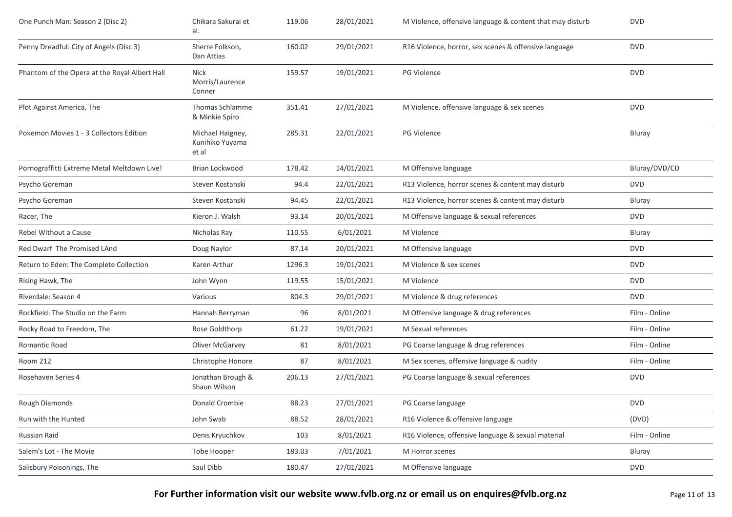| One Punch Man: Season 2 (Disc 2)              | Chikara Sakurai et<br>al.                    | 119.06 | 28/01/2021 | M Violence, offensive language & content that may disturb | <b>DVD</b>    |
|-----------------------------------------------|----------------------------------------------|--------|------------|-----------------------------------------------------------|---------------|
| Penny Dreadful: City of Angels (Disc 3)       | Sherre Folkson,<br>Dan Attias                | 160.02 | 29/01/2021 | R16 Violence, horror, sex scenes & offensive language     | <b>DVD</b>    |
| Phantom of the Opera at the Royal Albert Hall | <b>Nick</b><br>Morris/Laurence<br>Conner     | 159.57 | 19/01/2021 | PG Violence                                               | <b>DVD</b>    |
| Plot Against America, The                     | Thomas Schlamme<br>& Minkie Spiro            | 351.41 | 27/01/2021 | M Violence, offensive language & sex scenes               | <b>DVD</b>    |
| Pokemon Movies 1 - 3 Collectors Edition       | Michael Haigney,<br>Kunihiko Yuyama<br>et al | 285.31 | 22/01/2021 | PG Violence                                               | Bluray        |
| Pornograffitti Extreme Metal Meltdown Live!   | Brian Lockwood                               | 178.42 | 14/01/2021 | M Offensive language                                      | Bluray/DVD/CD |
| Psycho Goreman                                | Steven Kostanski                             | 94.4   | 22/01/2021 | R13 Violence, horror scenes & content may disturb         | <b>DVD</b>    |
| Psycho Goreman                                | Steven Kostanski                             | 94.45  | 22/01/2021 | R13 Violence, horror scenes & content may disturb         | Bluray        |
| Racer, The                                    | Kieron J. Walsh                              | 93.14  | 20/01/2021 | M Offensive language & sexual references                  | <b>DVD</b>    |
| Rebel Without a Cause                         | Nicholas Ray                                 | 110.55 | 6/01/2021  | M Violence                                                | Bluray        |
| Red Dwarf The Promised LAnd                   | Doug Naylor                                  | 87.14  | 20/01/2021 | M Offensive language                                      | <b>DVD</b>    |
| Return to Eden: The Complete Collection       | Karen Arthur                                 | 1296.3 | 19/01/2021 | M Violence & sex scenes                                   | <b>DVD</b>    |
| Rising Hawk, The                              | John Wynn                                    | 119.55 | 15/01/2021 | M Violence                                                | <b>DVD</b>    |
| Riverdale: Season 4                           | Various                                      | 804.3  | 29/01/2021 | M Violence & drug references                              | <b>DVD</b>    |
| Rockfield: The Studio on the Farm             | Hannah Berryman                              | 96     | 8/01/2021  | M Offensive language & drug references                    | Film - Online |
| Rocky Road to Freedom, The                    | Rose Goldthorp                               | 61.22  | 19/01/2021 | M Sexual references                                       | Film - Online |
| Romantic Road                                 | Oliver McGarvey                              | 81     | 8/01/2021  | PG Coarse language & drug references                      | Film - Online |
| <b>Room 212</b>                               | Christophe Honore                            | 87     | 8/01/2021  | M Sex scenes, offensive language & nudity                 | Film - Online |
| Rosehaven Series 4                            | Jonathan Brough &<br>Shaun Wilson            | 206.13 | 27/01/2021 | PG Coarse language & sexual references                    | <b>DVD</b>    |
| Rough Diamonds                                | Donald Crombie                               | 88.23  | 27/01/2021 | PG Coarse language                                        | <b>DVD</b>    |
| Run with the Hunted                           | John Swab                                    | 88.52  | 28/01/2021 | R16 Violence & offensive language                         | (DVD)         |
| Russian Raid                                  | Denis Kryuchkov                              | 103    | 8/01/2021  | R16 Violence, offensive language & sexual material        | Film - Online |
| Salem's Lot - The Movie                       | Tobe Hooper                                  | 183.03 | 7/01/2021  | M Horror scenes                                           | Bluray        |
| Salisbury Poisonings, The                     | Saul Dibb                                    | 180.47 | 27/01/2021 | M Offensive language                                      | <b>DVD</b>    |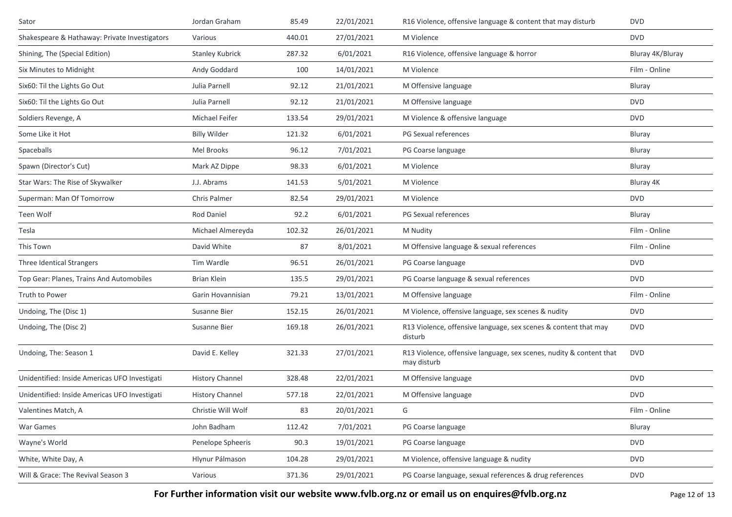| Sator                                         | Jordan Graham          | 85.49  | 22/01/2021 | R16 Violence, offensive language & content that may disturb                        | <b>DVD</b>       |
|-----------------------------------------------|------------------------|--------|------------|------------------------------------------------------------------------------------|------------------|
| Shakespeare & Hathaway: Private Investigators | Various                | 440.01 | 27/01/2021 | M Violence                                                                         | <b>DVD</b>       |
| Shining, The (Special Edition)                | <b>Stanley Kubrick</b> | 287.32 | 6/01/2021  | R16 Violence, offensive language & horror                                          | Bluray 4K/Bluray |
| Six Minutes to Midnight                       | Andy Goddard           | 100    | 14/01/2021 | M Violence                                                                         | Film - Online    |
| Six60: Til the Lights Go Out                  | Julia Parnell          | 92.12  | 21/01/2021 | M Offensive language                                                               | Bluray           |
| Six60: Til the Lights Go Out                  | Julia Parnell          | 92.12  | 21/01/2021 | M Offensive language                                                               | <b>DVD</b>       |
| Soldiers Revenge, A                           | Michael Feifer         | 133.54 | 29/01/2021 | M Violence & offensive language                                                    | <b>DVD</b>       |
| Some Like it Hot                              | <b>Billy Wilder</b>    | 121.32 | 6/01/2021  | PG Sexual references                                                               | Bluray           |
| Spaceballs                                    | Mel Brooks             | 96.12  | 7/01/2021  | PG Coarse language                                                                 | Bluray           |
| Spawn (Director's Cut)                        | Mark AZ Dippe          | 98.33  | 6/01/2021  | M Violence                                                                         | Bluray           |
| Star Wars: The Rise of Skywalker              | J.J. Abrams            | 141.53 | 5/01/2021  | M Violence                                                                         | Bluray 4K        |
| Superman: Man Of Tomorrow                     | <b>Chris Palmer</b>    | 82.54  | 29/01/2021 | M Violence                                                                         | <b>DVD</b>       |
| Teen Wolf                                     | Rod Daniel             | 92.2   | 6/01/2021  | PG Sexual references                                                               | Bluray           |
| Tesla                                         | Michael Almereyda      | 102.32 | 26/01/2021 | M Nudity                                                                           | Film - Online    |
| This Town                                     | David White            | 87     | 8/01/2021  | M Offensive language & sexual references                                           | Film - Online    |
| Three Identical Strangers                     | Tim Wardle             | 96.51  | 26/01/2021 | PG Coarse language                                                                 | <b>DVD</b>       |
| Top Gear: Planes, Trains And Automobiles      | Brian Klein            | 135.5  | 29/01/2021 | PG Coarse language & sexual references                                             | <b>DVD</b>       |
| Truth to Power                                | Garin Hovannisian      | 79.21  | 13/01/2021 | M Offensive language                                                               | Film - Online    |
| Undoing, The (Disc 1)                         | Susanne Bier           | 152.15 | 26/01/2021 | M Violence, offensive language, sex scenes & nudity                                | <b>DVD</b>       |
| Undoing, The (Disc 2)                         | Susanne Bier           | 169.18 | 26/01/2021 | R13 Violence, offensive language, sex scenes & content that may<br>disturb         | <b>DVD</b>       |
| Undoing, The: Season 1                        | David E. Kelley        | 321.33 | 27/01/2021 | R13 Violence, offensive language, sex scenes, nudity & content that<br>may disturb | <b>DVD</b>       |
| Unidentified: Inside Americas UFO Investigati | <b>History Channel</b> | 328.48 | 22/01/2021 | M Offensive language                                                               | <b>DVD</b>       |
| Unidentified: Inside Americas UFO Investigati | <b>History Channel</b> | 577.18 | 22/01/2021 | M Offensive language                                                               | <b>DVD</b>       |
| Valentines Match, A                           | Christie Will Wolf     | 83     | 20/01/2021 | G                                                                                  | Film - Online    |
| War Games                                     | John Badham            | 112.42 | 7/01/2021  | PG Coarse language                                                                 | Bluray           |
| Wayne's World                                 | Penelope Spheeris      | 90.3   | 19/01/2021 | PG Coarse language                                                                 | <b>DVD</b>       |
| White, White Day, A                           | Hlynur Pálmason        | 104.28 | 29/01/2021 | M Violence, offensive language & nudity                                            | <b>DVD</b>       |
| Will & Grace: The Revival Season 3            | Various                | 371.36 | 29/01/2021 | PG Coarse language, sexual references & drug references                            | <b>DVD</b>       |

**For Further information visit our website www.fvlb.org.nz or email us on enquires@fvlb.org.nz** Page 12 of 13